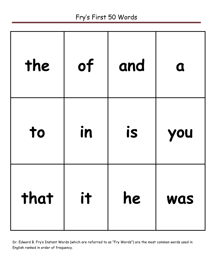## Fry's First 50 Words

| the  | of | and | $\mathbf a$ |
|------|----|-----|-------------|
| to   | in | is  | you         |
| that | it | he  | <b>WAS</b>  |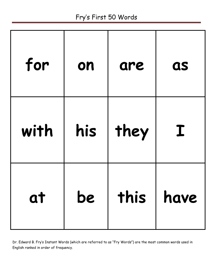## Fry's First 50 Words

| for  | on  | are           | as |
|------|-----|---------------|----|
| with | his | they          | I  |
| at   | be  | this $ $ have |    |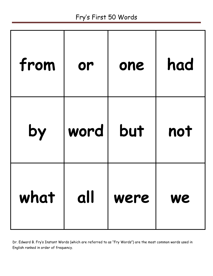## Fry's First 50 Words

| from | or   | one  | had |
|------|------|------|-----|
| by   | word | but  | not |
| what | all  | were | We  |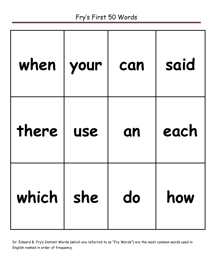| when              | your       | can | said |
|-------------------|------------|-----|------|
| there             | <b>USE</b> | an  | each |
| which $ $ she $ $ |            | do  | how  |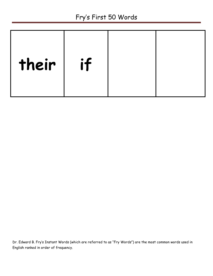| their | if |  |
|-------|----|--|
|       |    |  |